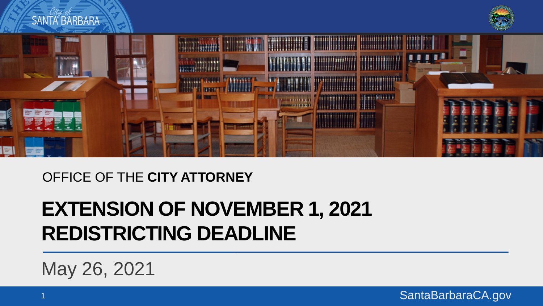

#### OFFICE OF THE **CITY ATTORNEY**

#### **EXTENSION OF NOVEMBER 1, 2021 REDISTRICTING DEADLINE**

May 26, 2021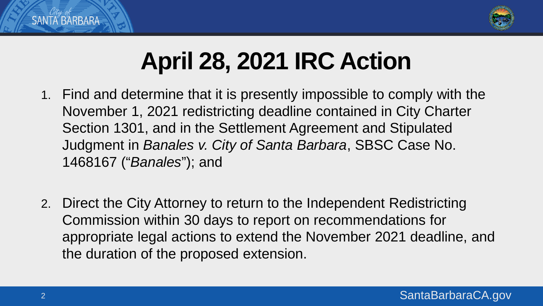

# **April 28, 2021 IRC Action**

- 1. Find and determine that it is presently impossible to comply with the November 1, 2021 redistricting deadline contained in City Charter Section 1301, and in the Settlement Agreement and Stipulated Judgment in *Banales v. City of Santa Barbara*, SBSC Case No. 1468167 ("*Banales*"); and
- 2. Direct the City Attorney to return to the Independent Redistricting Commission within 30 days to report on recommendations for appropriate legal actions to extend the November 2021 deadline, and the duration of the proposed extension.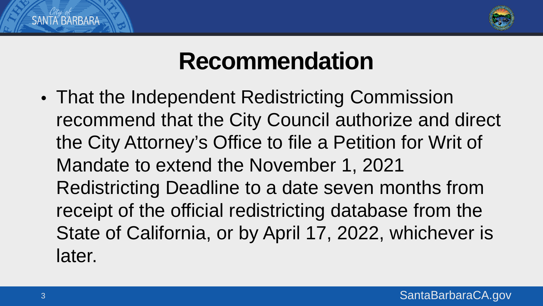

### **Recommendation**

• That the Independent Redistricting Commission recommend that the City Council authorize and direct the City Attorney's Office to file a Petition for Writ of Mandate to extend the November 1, 2021 Redistricting Deadline to a date seven months from receipt of the official redistricting database from the State of California, or by April 17, 2022, whichever is later.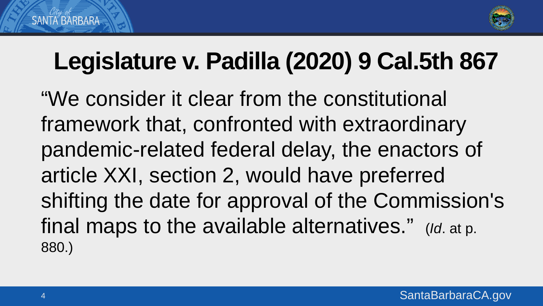

## **Legislature v. Padilla (2020) 9 Cal.5th 867**

"We consider it clear from the constitutional framework that, confronted with extraordinary pandemic-related federal delay, the enactors of article XXI, section 2, would have preferred shifting the date for approval of the Commission's final maps to the available alternatives." (*Id*. at p. 880.)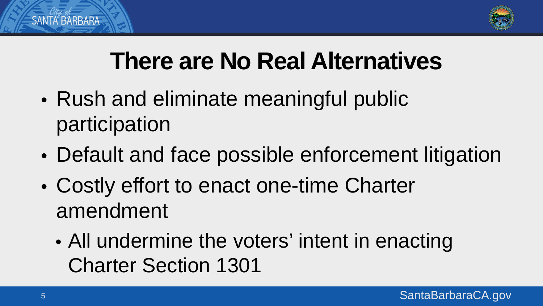

# **There are No Real Alternatives**

- Rush and eliminate meaningful public participation
- Default and face possible enforcement litigation
- Costly effort to enact one-time Charter amendment
	- All undermine the voters' intent in enacting Charter Section 1301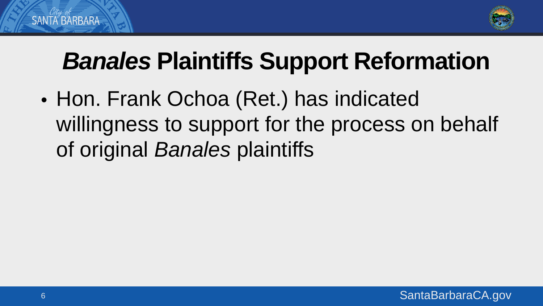

# *Banales* **Plaintiffs Support Reformation**

• Hon. Frank Ochoa (Ret.) has indicated willingness to support for the process on behalf of original *Banales* plaintiffs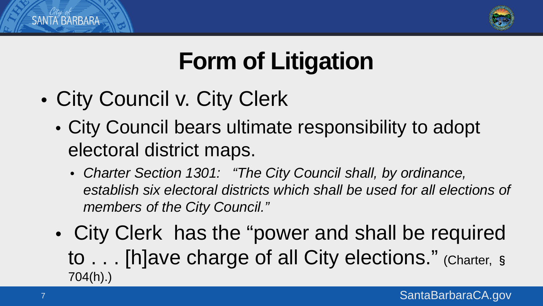

# **Form of Litigation**

- City Council v. City Clerk
	- City Council bears ultimate responsibility to adopt electoral district maps.
		- *Charter Section 1301: "The City Council shall, by ordinance, establish six electoral districts which shall be used for all elections of members of the City Council."*
	- City Clerk has the "power and shall be required to . . . [h]ave charge of all City elections." (Charter, § 704(h).)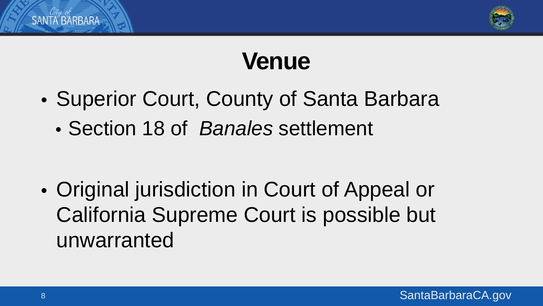

### **Venue**

- Superior Court, County of Santa Barbara
	- Section 18 of *Banales* settlement

• Original jurisdiction in Court of Appeal or California Supreme Court is possible but unwarranted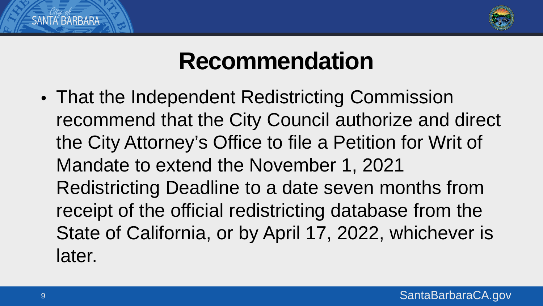

### **Recommendation**

• That the Independent Redistricting Commission recommend that the City Council authorize and direct the City Attorney's Office to file a Petition for Writ of Mandate to extend the November 1, 2021 Redistricting Deadline to a date seven months from receipt of the official redistricting database from the State of California, or by April 17, 2022, whichever is later.